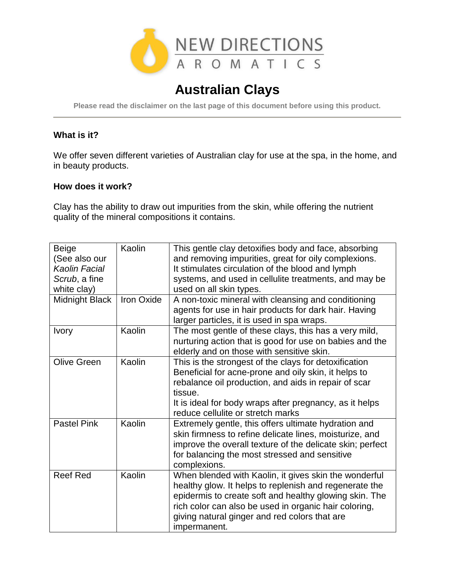

# **Australian Clays**

**Please read the disclaimer on the last page of this document before using this product.**

## **What is it?**

We offer seven different varieties of Australian clay for use at the spa, in the home, and in beauty products.

#### **How does it work?**

Clay has the ability to draw out impurities from the skin, while offering the nutrient quality of the mineral compositions it contains.

| <b>Beige</b><br>(See also our<br><b>Kaolin Facial</b><br>Scrub, a fine<br>white clay) | Kaolin     | This gentle clay detoxifies body and face, absorbing<br>and removing impurities, great for oily complexions.<br>It stimulates circulation of the blood and lymph<br>systems, and used in cellulite treatments, and may be<br>used on all skin types.                                                |
|---------------------------------------------------------------------------------------|------------|-----------------------------------------------------------------------------------------------------------------------------------------------------------------------------------------------------------------------------------------------------------------------------------------------------|
| Midnight Black                                                                        | Iron Oxide | A non-toxic mineral with cleansing and conditioning<br>agents for use in hair products for dark hair. Having<br>larger particles, it is used in spa wraps.                                                                                                                                          |
| <b>Ivory</b>                                                                          | Kaolin     | The most gentle of these clays, this has a very mild,<br>nurturing action that is good for use on babies and the<br>elderly and on those with sensitive skin.                                                                                                                                       |
| <b>Olive Green</b>                                                                    | Kaolin     | This is the strongest of the clays for detoxification<br>Beneficial for acne-prone and oily skin, it helps to<br>rebalance oil production, and aids in repair of scar<br>tissue.<br>It is ideal for body wraps after pregnancy, as it helps<br>reduce cellulite or stretch marks                    |
| <b>Pastel Pink</b>                                                                    | Kaolin     | Extremely gentle, this offers ultimate hydration and<br>skin firmness to refine delicate lines, moisturize, and<br>improve the overall texture of the delicate skin; perfect<br>for balancing the most stressed and sensitive<br>complexions.                                                       |
| <b>Reef Red</b>                                                                       | Kaolin     | When blended with Kaolin, it gives skin the wonderful<br>healthy glow. It helps to replenish and regenerate the<br>epidermis to create soft and healthy glowing skin. The<br>rich color can also be used in organic hair coloring,<br>giving natural ginger and red colors that are<br>impermanent. |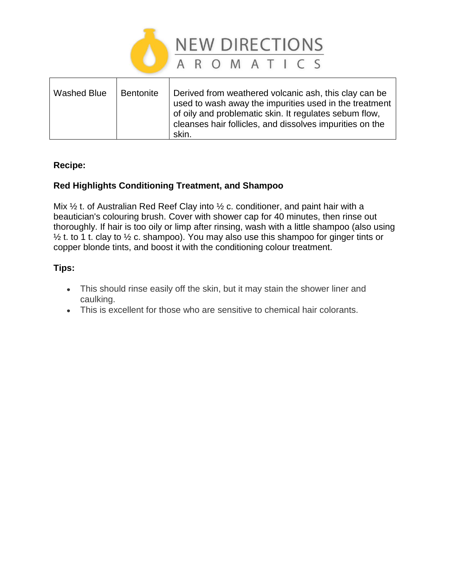

| Washed Blue<br><b>Bentonite</b> | Derived from weathered volcanic ash, this clay can be<br>used to wash away the impurities used in the treatment<br>of oily and problematic skin. It regulates sebum flow,<br>cleanses hair follicles, and dissolves impurities on the<br>skin. |
|---------------------------------|------------------------------------------------------------------------------------------------------------------------------------------------------------------------------------------------------------------------------------------------|
|---------------------------------|------------------------------------------------------------------------------------------------------------------------------------------------------------------------------------------------------------------------------------------------|

# **Recipe:**

# **Red Highlights Conditioning Treatment, and Shampoo**

Mix  $\frac{1}{2}$  t. of Australian Red Reef Clay into  $\frac{1}{2}$  c. conditioner, and paint hair with a beautician's colouring brush. Cover with shower cap for 40 minutes, then rinse out thoroughly. If hair is too oily or limp after rinsing, wash with a little shampoo (also using  $\frac{1}{2}$  t. to 1 t. clay to  $\frac{1}{2}$  c. shampoo). You may also use this shampoo for ginger tints or copper blonde tints, and boost it with the conditioning colour treatment.

## **Tips:**

- This should rinse easily off the skin, but it may stain the shower liner and caulking.
- This is excellent for those who are sensitive to chemical hair colorants.